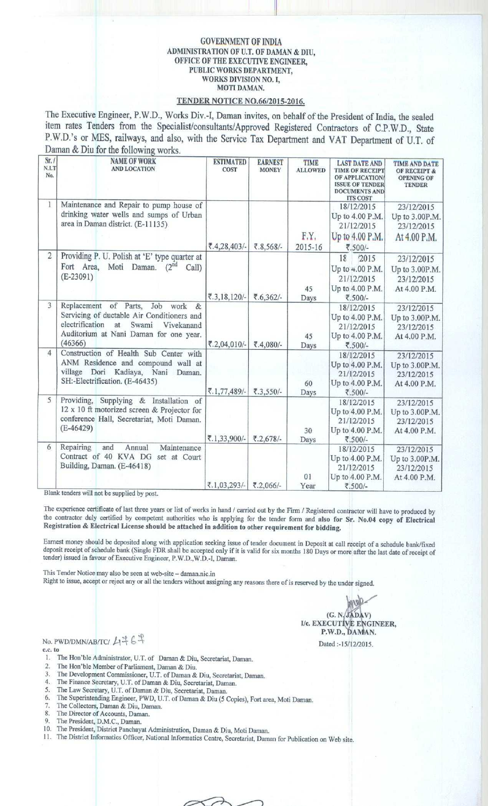## GOVERNMENT OF INDIA ADMINISTRATION OF U.T. OF DAMAN & DIU, OFFICE OF THE EXECUTIVE ENGINEER, PUBLIC WORKS DEPARTMENT, WORKS DIVISION NO. I, MOTI DAMAN.

**11**

## TENDER NOTICE NO.66/2015-2016.

The Executive Engineer, P.W.D., Works Div.-I, Daman invites, on behalf of the President of India, the sealed item rates Tenders from the Specialist/consultants/Approved Registered Contractors of C.P.W.D., State P.W.D.'s or MES, railways, and also, with the Service Tax Department and VAT Department of U.T. of Daman & Diu for the following works.

| Sr./<br>N.I.T<br>No. | <b>NAME OF WORK</b><br><b>AND LOCATION</b>                                                                                                                                             | <b>ESTIMATED</b><br>COST   | <b>EARNEST</b><br><b>MONEY</b> | <b>TIME</b><br><b>ALLOWED</b> | <b>LAST DATE AND</b><br><b>TIME OF RECEIPT</b><br><b>OF APPLICATION</b><br><b>ISSUE OF TENDER</b><br><b>DOCUMENTS AND</b><br><b>ITS COST</b> | <b>TIME AND DATE</b><br><b>OF RECEIPT &amp;</b><br><b>OPENING OF</b><br><b>TENDER</b> |
|----------------------|----------------------------------------------------------------------------------------------------------------------------------------------------------------------------------------|----------------------------|--------------------------------|-------------------------------|----------------------------------------------------------------------------------------------------------------------------------------------|---------------------------------------------------------------------------------------|
| 1                    | Maintenance and Repair to pump house of<br>drinking water wells and sumps of Urban<br>area in Daman district. (E-11135)                                                                | $\overline{5}.4,28,403/$ - | ₹.8,568/-                      | F.Y.<br>2015-16               | 18/12/2015<br>Up to 4.00 P.M.<br>21/12/2015<br>Up to 4.00 P.M.<br>₹.500/-                                                                    | 23/12/2015<br>Up to 3.00P.M.<br>23/12/2015<br>At 4.00 P.M.                            |
| $\overline{c}$       | Providing P. U. Polish at 'E' type quarter at<br>Fort Area, Moti Daman. (2nd<br>Call)<br>$(E-23091)$                                                                                   | $\overline{5}.3,18,120/-$  | ₹.6,362/-                      | 45<br>Days                    | 18<br>'2015<br>Up to 4.00 P.M.<br>21/12/2015<br>Up to 4.00 P.M.<br>₹.500/-                                                                   | 23/12/2015<br>Up to 3.00P.M.<br>23/12/2015<br>At 4.00 P.M.                            |
| 3                    | Replacement of Parts,<br>Job work &<br>Servicing of ductable Air Conditioners and<br>electrification<br>Swami<br>at<br>Vivekanand<br>Auditorium at Nani Daman for one year.<br>(46366) | ₹.2,04,010/-               | ₹.4,080/-                      | 45<br>Days                    | 18/12/2015<br>Up to 4.00 P.M.<br>21/12/2015<br>Up to 4.00 P.M.<br>₹.500/-                                                                    | 23/12/2015<br>Up to 3.00P.M.<br>23/12/2015<br>At 4.00 P.M.                            |
| $\overline{4}$       | Construction of Health Sub Center with<br>ANM Residence and compound wall at<br>village Dori Kadiaya, Nani<br>Daman.<br>SH:-Electrification. (E-46435)                                 | ₹.1,77,489/-               | ₹.3,550/-                      | 60<br>Days                    | 18/12/2015<br>Up to 4.00 P.M.<br>21/12/2015<br>Up to 4.00 P.M.<br>₹.500/-                                                                    | 23/12/2015<br>Up to 3.00P.M.<br>23/12/2015<br>At 4.00 P.M.                            |
| 5                    | Providing,<br>Supplying & Installation of<br>12 x 10 ft motorized screen & Projector for<br>conference Hall, Secretariat, Moti Daman.<br>$(E-46429)$                                   | ₹.1,33,900/-               | ₹.2,678/-                      | 30<br>Days                    | 18/12/2015<br>Up to 4.00 P.M.<br>21/12/2015<br>Up to 4.00 P.M.<br>₹.500/-                                                                    | 23/12/2015<br>Up to 3.00P.M.<br>23/12/2015<br>At 4.00 P.M.                            |
| 6                    | Repairing<br>and<br>Maintenance<br>Annual<br>Contract of 40 KVA DG<br>set at Court<br>Building, Daman. (E-46418)                                                                       | ₹.1,03,293/-               | ₹.2,066/-                      | 01<br>Year                    | 18/12/2015<br>Up to 4.00 P.M.<br>21/12/2015<br>Up to 4.00 P.M.<br>₹.500/-                                                                    | 23/12/2015<br>Up to 3.00P.M.<br>23/12/2015<br>At 4.00 P.M.                            |

Blank tenders will not be supplied by post.

The experience certificate of last three years or list of works in hand / carried out by the Firm / Registered contractor will have to produced by the contractor duly certified by competent authorities who is applying for the tender form **and also** for Sr. **No.04 copy of Electrical Registration** & **Electrical License should be attached in addition to other requirement for bidding.**

Earnest money should be deposited along with application seeking issue of tender document in Deposit at call receipt of a schedule bank/fixed deposit receipt of schedule bank (Single FDR shall be accepted only if it is valid for six months 180 Days or more after the last date of receipt of tender) issued in favour of Executive Engineer, P.W.D.,W.D.-I, Daman.

This Tender Notice may also be seen at web-site - daman.nic.in

Right to issue, accept or reject any or all the tenders without assigning any reasons there of is reserved by the under signed.

 $(G. N, JADAV)$ I/c. EXECUTIVE ENGINEER, P.W.D., DAMAN.

Dated :-15/12/2015,

No. PWD/DMN/AB/TC/ 4斗6年

**C.C. to**

- I. The Hon'ble Administrator, U.T. of Daman & Diu, Secretariat, Daman.
- 2. The Hon'ble Member of Parliament, Daman & Diu.<br>3. The Development Commissioner,  $\overline{I}$  If  $\overline{I}$  of Daman &
- The Development Commissioner, U.T. of Daman & Diu, Secretariat, Daman.
- 4. The Finance Secretary, U.T. of Daman & Diu, Secretariat, Daman.
- 5. The Law Secretary, U.T. of Daman & Diu, Secretariat, Daman.
- 6. The Superintending Engineer, PWD, U.T. of Daman & Diu (5 Copies), Fort area, Moti Daman.
- 7. The Collectors, Daman & Diu, Daman.
- 8. The Director of Accounts, Daman. The President, D.M.C., Daman.
- 
- 10. The President, District Panchayat Administration, Daman & Diu, Moti Daman.
- I I . The District Informatics Officer, National Informatics Centre, Secretariat, Daman for Publication on Web site.

⋺  $\widetilde{\phantom{a}}$